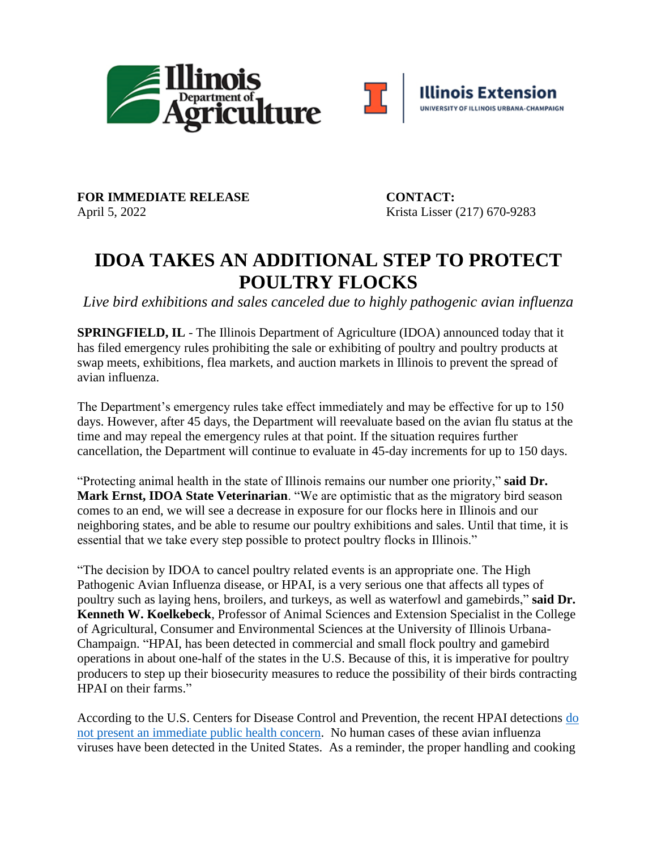



FOR IMMEDIATE RELEASE CONTACT: April 5, 2022 Krista Lisser (217) 670-9283

## **IDOA TAKES AN ADDITIONAL STEP TO PROTECT POULTRY FLOCKS**

*Live bird exhibitions and sales canceled due to highly pathogenic avian influenza*

**SPRINGFIELD, IL** - The Illinois Department of Agriculture (IDOA) announced today that it has filed emergency rules prohibiting the sale or exhibiting of poultry and poultry products at swap meets, exhibitions, flea markets, and auction markets in Illinois to prevent the spread of avian influenza.

The Department's emergency rules take effect immediately and may be effective for up to 150 days. However, after 45 days, the Department will reevaluate based on the avian flu status at the time and may repeal the emergency rules at that point. If the situation requires further cancellation, the Department will continue to evaluate in 45-day increments for up to 150 days.

"Protecting animal health in the state of Illinois remains our number one priority," **said Dr. Mark Ernst, IDOA State Veterinarian**. "We are optimistic that as the migratory bird season comes to an end, we will see a decrease in exposure for our flocks here in Illinois and our neighboring states, and be able to resume our poultry exhibitions and sales. Until that time, it is essential that we take every step possible to protect poultry flocks in Illinois."

"The decision by IDOA to cancel poultry related events is an appropriate one. The High Pathogenic Avian Influenza disease, or HPAI, is a very serious one that affects all types of poultry such as laying hens, broilers, and turkeys, as well as waterfowl and gamebirds," **said Dr. Kenneth W. Koelkebeck**, Professor of Animal Sciences and Extension Specialist in the College of Agricultural, Consumer and Environmental Sciences at the University of Illinois Urbana-Champaign. "HPAI, has been detected in commercial and small flock poultry and gamebird operations in about one-half of the states in the U.S. Because of this, it is imperative for poultry producers to step up their biosecurity measures to reduce the possibility of their birds contracting HPAI on their farms."

According to the U.S. Centers for Disease Control and Prevention, the recent HPAI detections do not present an immediate public health concern. No human cases of these avian influenza viruses have been detected in the United States. As a reminder, the proper handling and cooking